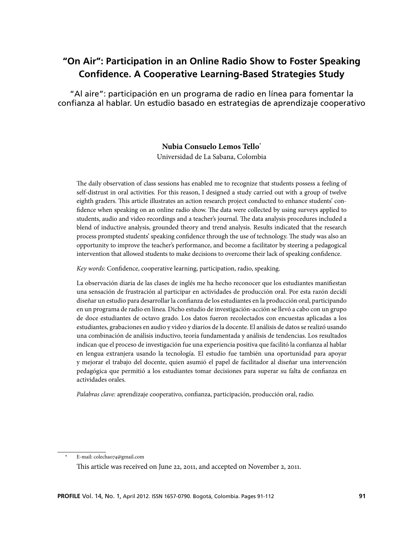# **"On Air": Participation in an Online Radio Show to Foster Speaking Confidence. A Cooperative Learning-Based Strategies Study**

"Al aire": participación en un programa de radio en línea para fomentar la confianza al hablar. Un estudio basado en estrategias de aprendizaje cooperativo

# **Nubia Consuelo Lemos Tello\***

Universidad de La Sabana, Colombia

The daily observation of class sessions has enabled me to recognize that students possess a feeling of self-distrust in oral activities. For this reason, I designed a study carried out with a group of twelve eighth graders. This article illustrates an action research project conducted to enhance students' confidence when speaking on an online radio show. The data were collected by using surveys applied to students, audio and video recordings and a teacher's journal. The data analysis procedures included a blend of inductive analysis, grounded theory and trend analysis. Results indicated that the research process prompted students' speaking confidence through the use of technology. The study was also an opportunity to improve the teacher's performance, and become a facilitator by steering a pedagogical intervention that allowed students to make decisions to overcome their lack of speaking confidence.

*Key words:* Confidence, cooperative learning, participation, radio, speaking.

La observación diaria de las clases de inglés me ha hecho reconocer que los estudiantes manifiestan una sensación de frustración al participar en actividades de producción oral. Por esta razón decidí diseñar un estudio para desarrollar la confianza de los estudiantes en la producción oral, participando en un programa de radio en línea. Dicho estudio de investigación-acción se llevó a cabo con un grupo de doce estudiantes de octavo grado. Los datos fueron recolectados con encuestas aplicadas a los estudiantes, grabaciones en audio y video y diarios de la docente. El análisis de datos se realizó usando una combinación de análisis inductivo, teoría fundamentada y análisis de tendencias. Los resultados indican que el proceso de investigación fue una experiencia positiva que facilitó la confianza al hablar en lengua extranjera usando la tecnología. El estudio fue también una oportunidad para apoyar y mejorar el trabajo del docente, quien asumió el papel de facilitador al diseñar una intervención pedagógica que permitió a los estudiantes tomar decisiones para superar su falta de confianza en actividades orales.

*Palabras clave:* aprendizaje cooperativo, confianza, participación, producción oral, radio.

E-mail: colechao74@gmail.com This article was received on June 22, 2011, and accepted on November 2, 2011.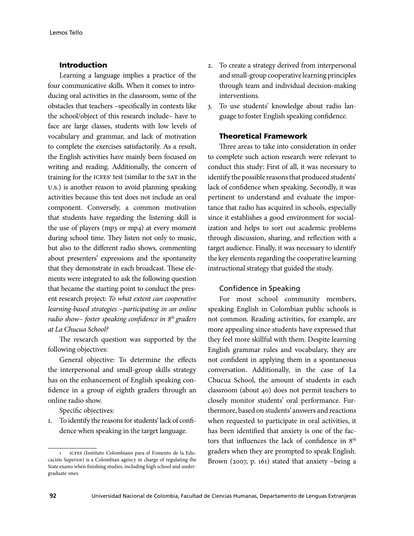# Introduction

Learning a language implies a practice of the four communicative skills. When it comes to introducing oral activities in the classroom, some of the obstacles that teachers –specifically in contexts like the school/object of this research include– have to face are large classes, students with low levels of vocabulary and grammar, and lack of motivation to complete the exercises satisfactorily. As a result, the English activities have mainly been focused on writing and reading. Additionally, the concern of training for the ICFES<sup>1</sup> test (similar to the SAT in the U.S.) is another reason to avoid planning speaking activities because this test does not include an oral component. Conversely, a common motivation that students have regarding the listening skill is the use of players (mp3 or mp4) at every moment during school time. They listen not only to music, but also to the different radio shows, commenting about presenters' expressions and the spontaneity that they demonstrate in each broadcast. These elements were integrated to ask the following question that became the starting point to conduct the present research project: *To what extent can cooperative learning-based strategies* –*participating in an online radio show*– *foster speaking confidence in 8th graders at La Chucua School?*

The research question was supported by the following objectives:

General objective: To determine the effects the interpersonal and small-group skills strategy has on the enhancement of English speaking confidence in a group of eighth graders through an online radio show.

Specific objectives:

1. To identify the reasons for students' lack of confidence when speaking in the target language.

- 2. To create a strategy derived from interpersonal and small-group cooperative learning principles through team and individual decision-making interventions.
- 3. To use students' knowledge about radio language to foster English speaking confidence.

# Theoretical Framework

Three areas to take into consideration in order to complete such action research were relevant to conduct this study: First of all, it was necessary to identify the possible reasons that produced students' lack of confidence when speaking. Secondly, it was pertinent to understand and evaluate the importance that radio has acquired in schools, especially since it establishes a good environment for socialization and helps to sort out academic problems through discussion, sharing, and reflection with a target audience. Finally, it was necessary to identify the key elements regarding the cooperative learning instructional strategy that guided the study.

#### Confidence in Speaking

For most school community members, speaking English in Colombian public schools is not common. Reading activities, for example, are more appealing since students have expressed that they feel more skillful with them. Despite learning English grammar rules and vocabulary, they are not confident in applying them in a spontaneous conversation. Additionally, in the case of La Chucua School, the amount of students in each classroom (about 40) does not permit teachers to closely monitor students' oral performance. Furthermore, based on students' answers and reactions when requested to participate in oral activities, it has been identified that anxiety is one of the factors that influences the lack of confidence in 8<sup>th</sup> graders when they are prompted to speak English. Brown (2007, p. 161) stated that anxiety –being a

<sup>1</sup> ICFES (Instituto Colombiano para el Fomento de la Educación Superior) is a Colombian agency in charge of regulating the State exams when finishing studies, including high school and undergraduate ones.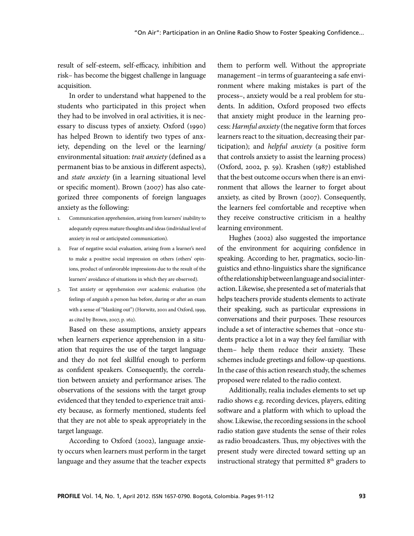result of self-esteem, self-efficacy, inhibition and risk– has become the biggest challenge in language acquisition.

In order to understand what happened to the students who participated in this project when they had to be involved in oral activities, it is necessary to discuss types of anxiety. Oxford (1990) has helped Brown to identify two types of anxiety, depending on the level or the learning/ environmental situation: *trait anxiety* (defined as a permanent bias to be anxious in different aspects), and *state anxiety* **(**in a learning situational level or specific moment). Brown (2007) has also categorized three components of foreign languages anxiety as the following:

- 1. Communication apprehension, arising from learners' inability to adequately express mature thoughts and ideas (individual level of anxiety in real or anticipated communication).
- 2. Fear of negative social evaluation, arising from a learner's need to make a positive social impression on others (others' opinions, product of unfavorable impressions due to the result of the learners' avoidance of situations in which they are observed).
- 3. Test anxiety or apprehension over academic evaluation (the feelings of anguish a person has before, during or after an exam with a sense of "blanking out") (Horwitz, 2001 and Oxford, 1999, as cited by Brown, 2007, p. 162).

Based on these assumptions, anxiety appears when learners experience apprehension in a situation that requires the use of the target language and they do not feel skillful enough to perform as confident speakers. Consequently, the correlation between anxiety and performance arises. The observations of the sessions with the target group evidenced that they tended to experience trait anxiety because, as formerly mentioned, students feel that they are not able to speak appropriately in the target language.

According to Oxford (2002), language anxiety occurs when learners must perform in the target language and they assume that the teacher expects them to perform well. Without the appropriate management –in terms of guaranteeing a safe environment where making mistakes is part of the process–, anxiety would be a real problem for students. In addition, Oxford proposed two effects that anxiety might produce in the learning process: *Harmful anxiety* (the negative form that forces learners react to the situation, decreasing their participation); and *helpful anxiety* (a positive form that controls anxiety to assist the learning process) (Oxford, 2002, p. 59). Krashen (1987) established that the best outcome occurs when there is an environment that allows the learner to forget about anxiety, as cited by Brown (2007). Consequently, the learners feel comfortable and receptive when they receive constructive criticism in a healthy learning environment.

Hughes (2002) also suggested the importance of the environment for acquiring confidence in speaking. According to her, pragmatics, socio-linguistics and ethno-linguistics share the significance of the relationship between language and social interaction. Likewise, she presented a set of materials that helps teachers provide students elements to activate their speaking, such as particular expressions in conversations and their purposes. These resources include a set of interactive schemes that –once students practice a lot in a way they feel familiar with them– help them reduce their anxiety. These schemes include greetings and follow-up questions. In the case of this action research study, the schemes proposed were related to the radio context.

Additionally, realia includes elements to set up radio shows e.g. recording devices, players, editing software and a platform with which to upload the show. Likewise, the recording sessions in the school radio station gave students the sense of their roles as radio broadcasters. Thus, my objectives with the present study were directed toward setting up an instructional strategy that permitted  $8<sup>th</sup>$  graders to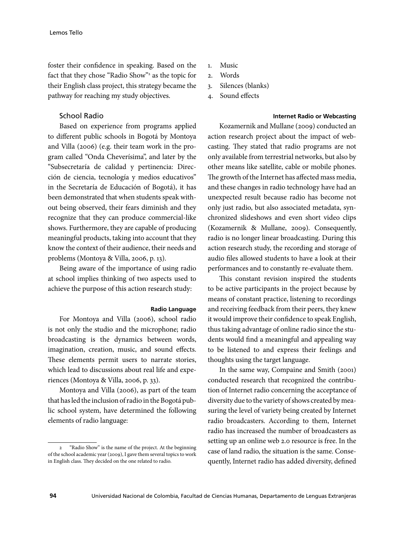foster their confidence in speaking. Based on the fact that they chose "Radio Show"<sup>2</sup> as the topic for their English class project, this strategy became the pathway for reaching my study objectives.

# School Radio

Based on experience from programs applied to different public schools in Bogotá by Montoya and Villa (2006) (e.g. their team work in the program called "Onda Cheverísima", and later by the "Subsecretaría de calidad y pertinencia: Dirección de ciencia, tecnología y medios educativos" in the Secretaría de Educación of Bogotá), it has been demonstrated that when students speak without being observed, their fears diminish and they recognize that they can produce commercial-like shows. Furthermore, they are capable of producing meaningful products, taking into account that they know the context of their audience, their needs and problems (Montoya & Villa, 2006, p. 13).

Being aware of the importance of using radio at school implies thinking of two aspects used to achieve the purpose of this action research study:

#### **Radio Language**

For Montoya and Villa (2006), school radio is not only the studio and the microphone; radio broadcasting is the dynamics between words, imagination, creation, music, and sound effects. These elements permit users to narrate stories, which lead to discussions about real life and experiences (Montoya & Villa, 2006, p. 33).

Montoya and Villa (2006), as part of the team that has led the inclusion of radio in the Bogotá public school system, have determined the following elements of radio language:

- 1. Music
- 2. Words
- 3. Silences (blanks)
- 4. Sound effects

#### **Internet Radio or Webcasting**

Kozamernik and Mullane (2009) conducted an action research project about the impact of webcasting. They stated that radio programs are not only available from terrestrial networks, but also by other means like satellite, cable or mobile phones. The growth of the Internet has affected mass media, and these changes in radio technology have had an unexpected result because radio has become not only just radio, but also associated metadata, synchronized slideshows and even short video clips (Kozamernik & Mullane, 2009). Consequently, radio is no longer linear broadcasting. During this action research study, the recording and storage of audio files allowed students to have a look at their performances and to constantly re-evaluate them.

This constant revision inspired the students to be active participants in the project because by means of constant practice, listening to recordings and receiving feedback from their peers, they knew it would improve their confidence to speak English, thus taking advantage of online radio since the students would find a meaningful and appealing way to be listened to and express their feelings and thoughts using the target language.

In the same way, Compaine and Smith (2001) conducted research that recognized the contribution of Internet radio concerning the acceptance of diversity due to the variety of shows created by measuring the level of variety being created by Internet radio broadcasters. According to them, Internet radio has increased the number of broadcasters as setting up an online web 2.0 resource is free. In the case of land radio, the situation is the same. Consequently, Internet radio has added diversity, defined

<sup>&</sup>quot;Radio Show" is the name of the project. At the beginning of the school academic year (2009), I gave them several topics to work in English class. They decided on the one related to radio.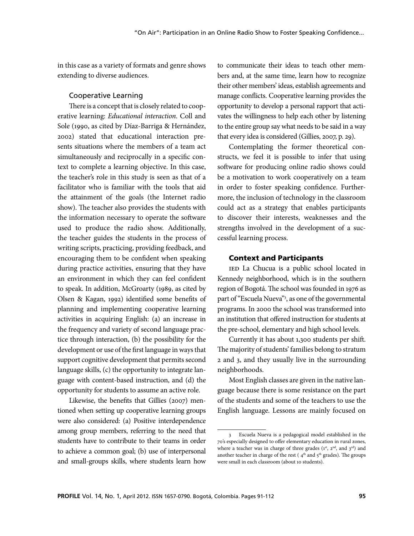in this case as a variety of formats and genre shows extending to diverse audiences.

## Cooperative Learning

There is a concept that is closely related to cooperative learning: *Educational interaction*. Coll and Sole (1990, as cited by Díaz-Barriga & Hernández, 2002) stated that educational interaction presents situations where the members of a team act simultaneously and reciprocally in a specific context to complete a learning objective. In this case, the teacher's role in this study is seen as that of a facilitator who is familiar with the tools that aid the attainment of the goals (the Internet radio show). The teacher also provides the students with the information necessary to operate the software used to produce the radio show. Additionally, the teacher guides the students in the process of writing scripts, practicing, providing feedback, and encouraging them to be confident when speaking during practice activities, ensuring that they have an environment in which they can feel confident to speak. In addition, McGroarty (1989, as cited by Olsen & Kagan, 1992) identified some benefits of planning and implementing cooperative learning activities in acquiring English: (a) an increase in the frequency and variety of second language practice through interaction, (b) the possibility for the development or use of the first language in ways that support cognitive development that permits second language skills, (c) the opportunity to integrate language with content-based instruction, and (d) the opportunity for students to assume an active role.

Likewise, the benefits that Gillies (2007) mentioned when setting up cooperative learning groups were also considered: (a) Positive interdependence among group members, referring to the need that students have to contribute to their teams in order to achieve a common goal; (b) use of interpersonal and small-groups skills, where students learn how to communicate their ideas to teach other members and, at the same time, learn how to recognize their other members' ideas, establish agreements and manage conflicts. Cooperative learning provides the opportunity to develop a personal rapport that activates the willingness to help each other by listening to the entire group say what needs to be said in a way that every idea is considered (Gillies, 2007, p. 29).

Contemplating the former theoretical constructs, we feel it is possible to infer that using software for producing online radio shows could be a motivation to work cooperatively on a team in order to foster speaking confidence. Furthermore, the inclusion of technology in the classroom could act as a strategy that enables participants to discover their interests, weaknesses and the strengths involved in the development of a successful learning process.

### Context and Participants

IED La Chucua is a public school located in Kennedy neighborhood, which is in the southern region of Bogotá. The school was founded in 1976 as part of "Escuela Nueva"3 , as one of the governmental programs. In 2000 the school was transformed into an institution that offered instruction for students at the pre-school, elementary and high school levels.

Currently it has about 1,300 students per shift. The majority of students' families belong to stratum 2 and 3, and they usually live in the surrounding neighborhoods.

Most English classes are given in the native language because there is some resistance on the part of the students and some of the teachers to use the English language. Lessons are mainly focused on

<sup>3</sup> Escuela Nueva is a pedagogical model established in the 70's especially designed to offer elementary education in rural zones, where a teacher was in charge of three grades  $(1<sup>st</sup>, 2<sup>nd</sup>, and 3<sup>rd</sup>)$  and another teacher in charge of the rest ( $4<sup>th</sup>$  and  $5<sup>th</sup>$  grades). The groups were small in each classroom (about 10 students).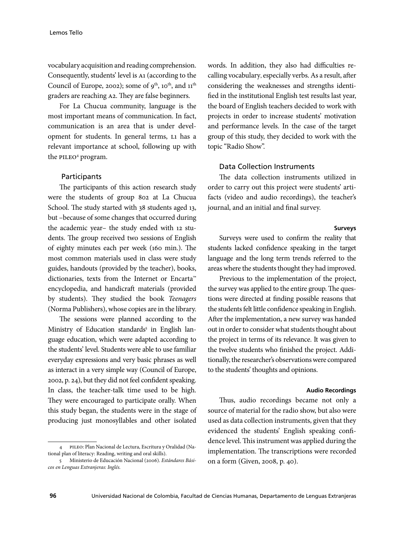vocabulary acquisition and reading comprehension. Consequently, students' level is A1 (according to the Council of Europe, 2002); some of  $9^{th}$ , 10<sup>th</sup>, and 11<sup>th</sup> graders are reaching A2. They are false beginners.

For La Chucua community, language is the most important means of communication. In fact, communication is an area that is under development for students. In general terms, L1 has a relevant importance at school, following up with the PILEO<sup>4</sup> program.

#### **Participants**

The participants of this action research study were the students of group 802 at La Chucua School. The study started with 38 students aged 13, but –because of some changes that occurred during the academic year– the study ended with 12 students. The group received two sessions of English of eighty minutes each per week (160 min.). The most common materials used in class were study guides, handouts (provided by the teacher), books, dictionaries, texts from the Internet or Encarta™ encyclopedia, and handicraft materials (provided by students). They studied the book *Teenagers* (Norma Publishers), whose copies are in the library.

The sessions were planned according to the Ministry of Education standards<sup>5</sup> in English language education, which were adapted according to the students' level. Students were able to use familiar everyday expressions and very basic phrases as well as interact in a very simple way (Council of Europe, 2002, p. 24), but they did not feel confident speaking. In class, the teacher-talk time used to be high. They were encouraged to participate orally. When this study began, the students were in the stage of producing just monosyllables and other isolated

4 PILEO: Plan Nacional de Lectura, Escritura y Oralidad (National plan of literacy: Reading, writing and oral skills).

words. In addition, they also had difficulties recalling vocabulary, especially verbs. As a result, after considering the weaknesses and strengths identified in the institutional English test results last year, the board of English teachers decided to work with projects in order to increase students' motivation and performance levels. In the case of the target group of this study, they decided to work with the topic "Radio Show".

### Data Collection Instruments

The data collection instruments utilized in order to carry out this project were students' artifacts (video and audio recordings), the teacher's journal, and an initial and final survey.

#### **Surveys**

Surveys were used to confirm the reality that students lacked confidence speaking in the target language and the long term trends referred to the areas where the students thought they had improved.

Previous to the implementation of the project, the survey was applied to the entire group. The questions were directed at finding possible reasons that the students felt little confidence speaking in English. After the implementation, a new survey was handed out in order to consider what students thought about the project in terms of its relevance. It was given to the twelve students who finished the project. Additionally, the researcher's observations were compared to the students' thoughts and opinions.

#### **Audio Recordings**

Thus, audio recordings became not only a source of material for the radio show, but also were used as data collection instruments, given that they evidenced the students' English speaking confidence level. This instrument was applied during the implementation. The transcriptions were recorded on a form (Given, 2008, p. 40).

<sup>5</sup> Ministerio de Educación Nacional (2006). *Estándares Básicos en Lenguas Extranjeras: Inglés.*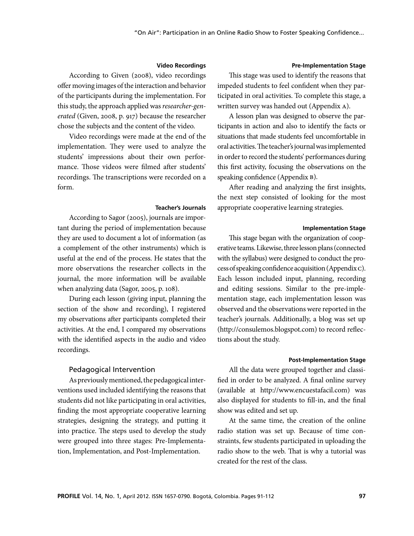#### **Video Recordings**

According to Given (2008), video recordings offer moving images of the interaction and behavior of the participants during the implementation. For this study, the approach applied was *researcher-generated* (Given, 2008, p. 917) because the researcher chose the subjects and the content of the video.

Video recordings were made at the end of the implementation. They were used to analyze the students' impressions about their own performance. Those videos were filmed after students' recordings. The transcriptions were recorded on a form.

#### **Teacher's Journals**

According to Sagor (2005), journals are important during the period of implementation because they are used to document a lot of information (as a complement of the other instruments) which is useful at the end of the process. He states that the more observations the researcher collects in the journal, the more information will be available when analyzing data (Sagor, 2005, p. 108).

During each lesson (giving input, planning the section of the show and recording), I registered my observations after participants completed their activities. At the end, I compared my observations with the identified aspects in the audio and video recordings.

#### Pedagogical Intervention

As previously mentioned, the pedagogical interventions used included identifying the reasons that students did not like participating in oral activities, finding the most appropriate cooperative learning strategies, designing the strategy, and putting it into practice. The steps used to develop the study were grouped into three stages: Pre-Implementation, Implementation, and Post-Implementation.

#### **Pre-Implementation Stage**

This stage was used to identify the reasons that impeded students to feel confident when they participated in oral activities. To complete this stage, a written survey was handed out (Appendix A).

A lesson plan was designed to observe the participants in action and also to identify the facts or situations that made students feel uncomfortable in oral activities. The teacher's journal was implemented in order to record the students' performances during this first activity, focusing the observations on the speaking confidence (Appendix B).

After reading and analyzing the first insights, the next step consisted of looking for the most appropriate cooperative learning strategies.

#### **Implementation Stage**

This stage began with the organization of cooperative teams. Likewise, three lesson plans (connected with the syllabus) were designed to conduct the process of speaking confidence acquisition (Appendix C). Each lesson included input, planning, recording and editing sessions. Similar to the pre-implementation stage, each implementation lesson was observed and the observations were reported in the teacher's journals. Additionally, a blog was set up (http://consulemos.blogspot.com) to record reflections about the study.

#### **Post-Implementation Stage**

All the data were grouped together and classified in order to be analyzed. A final online survey (available at http://www.encuestafacil.com) was also displayed for students to fill-in, and the final show was edited and set up.

At the same time, the creation of the online radio station was set up. Because of time constraints, few students participated in uploading the radio show to the web. That is why a tutorial was created for the rest of the class.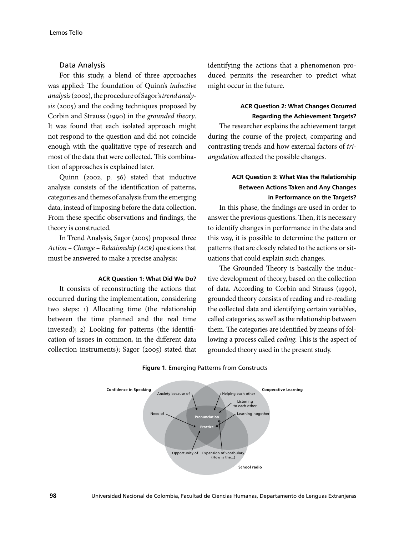# Data Analysis

For this study, a blend of three approaches was applied: The foundation of Quinn's *inductive analysis* (2002), the procedure of Sagor's *trend analysis* (2005) and the coding techniques proposed by Corbin and Strauss (1990) in the *grounded theory*. It was found that each isolated approach might not respond to the question and did not coincide enough with the qualitative type of research and most of the data that were collected. This combination of approaches is explained later.

Quinn (2002, p. 56) stated that inductive analysis consists of the identification of patterns, categories and themes of analysis from the emerging data, instead of imposing before the data collection. From these specific observations and findings, the theory is constructed.

In Trend Analysis, Sagor (2005) proposed three *Action – Change – Relationship (ACR)* questions that must be answered to make a precise analysis:

## **ACR Question 1: What Did We Do?**

It consists of reconstructing the actions that occurred during the implementation, considering two steps: 1) Allocating time (the relationship between the time planned and the real time invested); 2) Looking for patterns (the identification of issues in common, in the different data collection instruments); Sagor (2005) stated that identifying the actions that a phenomenon produced permits the researcher to predict what might occur in the future.

# **ACR Question 2: What Changes Occurred Regarding the Achievement Targets?**

The researcher explains the achievement target during the course of the project, comparing and contrasting trends and how external factors of *triangulation* affected the possible changes.

# **ACR Question 3: What Was the Relationship Between Actions Taken and Any Changes in Performance on the Targets?**

In this phase, the findings are used in order to answer the previous questions. Then, it is necessary to identify changes in performance in the data and this way, it is possible to determine the pattern or patterns that are closely related to the actions or situations that could explain such changes.

The Grounded Theory is basically the inductive development of theory, based on the collection of data. According to Corbin and Strauss (1990), grounded theory consists of reading and re-reading the collected data and identifying certain variables, called categories, as well as the relationship between them. The categories are identified by means of following a process called *coding*. This is the aspect of grounded theory used in the present study.



#### **Figure 1.** Emerging Patterns from Constructs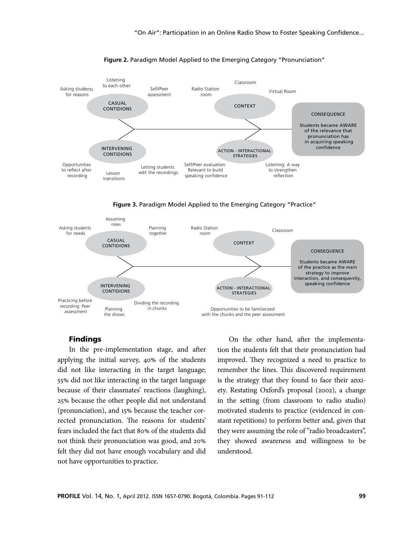

#### **Figure 2.** Paradigm Model Applied to the Emerging Category "Pronunciation"

**Figure 3.** Paradigm Model Applied to the Emerging Category "Practice"



## Findings

In the pre-implementation stage, and after applying the initial survey, 40% of the students did not like interacting in the target language; 55% did not like interacting in the target language because of their classmates' reactions (laughing), 25% because the other people did not understand (pronunciation), and 15% because the teacher corrected pronunciation. The reasons for students' fears included the fact that 80% of the students did not think their pronunciation was good, and 20% felt they did not have enough vocabulary and did not have opportunities to practice.

On the other hand, after the implementation the students felt that their pronunciation had improved. They recognized a need to practice to remember the lines. This discovered requirement is the strategy that they found to face their anxiety. Restating Oxford's proposal (2002), a change in the setting (from classroom to radio studio) motivated students to practice (evidenced in constant repetitions) to perform better and, given that they were assuming the role of "radio broadcasters", they showed awareness and willingness to be understood.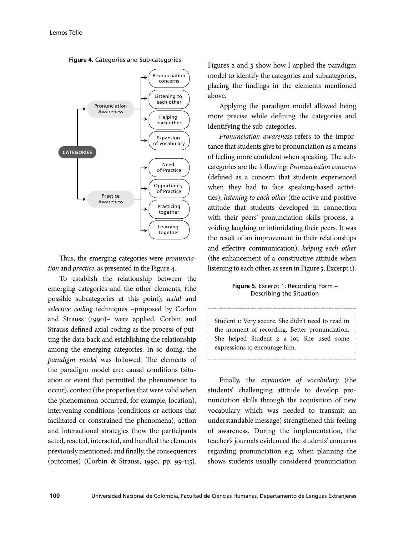

**Figure 4.** Categories and Sub-categories

Thus, the emerging categories were *pronunciation* and *practice*, as presented in the Figure 4.

To establish the relationship between the emerging categories and the other elements, (the possible subcategories at this point), *axial* and *selective coding* techniques –proposed by Corbin and Strauss (1990)– were applied. Corbin and Strauss defined axial coding as the process of putting the data back and establishing the relationship among the emerging categories. In so doing, the *paradigm model* was followed. The elements of the paradigm model are: causal conditions (situation or event that permitted the phenomenon to occur), context (the properties that were valid when the phenomenon occurred, for example, location), intervening conditions (conditions or actions that facilitated or constrained the phenomena), action and interactional strategies (how the participants acted, reacted, interacted, and handled the elements previously mentioned; and finally, the consequences (outcomes) (Corbin & Strauss, 1990, pp. 99-115).

Figures 2 and 3 show how I applied the paradigm model to identify the categories and subcategories, placing the findings in the elements mentioned above.

Applying the paradigm model allowed being more precise while defining the categories and identifying the sub-categories.

*Pronunciation awareness* refers to the importance that students give to pronunciation as a means of feeling more confident when speaking. The subcategories are the following: *Pronunciation concerns*  (defined as a concern that students experienced when they had to face speaking-based activities); *listening to each other* (the active and positive attitude that students developed in connection with their peers' pronunciation skills process, avoiding laughing or intimidating their peers. It was the result of an improvement in their relationships and effective communication); *helping each other*  (the enhancement of a constructive attitude when listening to each other, as seen in Figure 5, Excerpt 1).

## **Figure 5.** Excerpt 1: Recording Form – Describing the Situation

Student 1: Very secure. She didn't need to read in the moment of recording. Better pronunciation. She helped Student 2 a lot. She used some expressions to encourage him.

Finally, the *expansion of vocabulary* (the students' challenging attitude to develop pronunciation skills through the acquisition of new vocabulary which was needed to transmit an understandable message) strengthened this feeling of awareness. During the implementation, the teacher's journals evidenced the students' concerns regarding pronunciation e.g. when planning the shows students usually considered pronunciation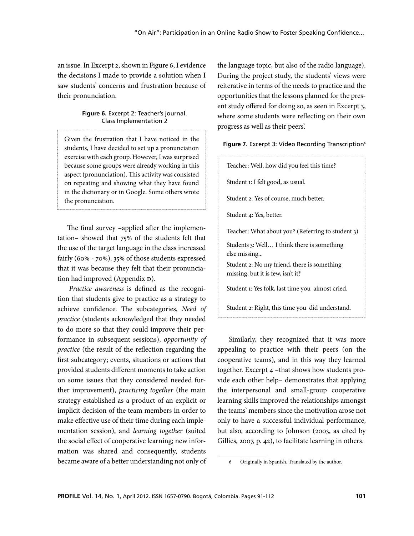an issue. In Excerpt 2, shown in Figure 6, I evidence the decisions I made to provide a solution when I saw students' concerns and frustration because of their pronunciation.

# **Figure 6.** Excerpt 2: Teacher's journal. Class Implementation 2

Given the frustration that I have noticed in the students, I have decided to set up a pronunciation exercise with each group. However, I was surprised because some groups were already working in this aspect (pronunciation). This activity was consisted on repeating and showing what they have found in the dictionary or in Google. Some others wrote the pronunciation.

The final survey –applied after the implementation– showed that 75% of the students felt that the use of the target language in the class increased fairly (60% - 70%). 35% of those students expressed that it was because they felt that their pronunciation had improved (Appendix D).

*Practice awareness* is defined as the recognition that students give to practice as a strategy to achieve confidence. The subcategories, *Need of practice* (students acknowledged that they needed to do more so that they could improve their performance in subsequent sessions), *opportunity of practice* (the result of the reflection regarding the first subcategory; events, situations or actions that provided students different moments to take action on some issues that they considered needed further improvement), *practicing together* (the main strategy established as a product of an explicit or implicit decision of the team members in order to make effective use of their time during each implementation session), and *learning together* (suited the social effect of cooperative learning; new information was shared and consequently, students became aware of a better understanding not only of

the language topic, but also of the radio language). During the project study, the students' views were reiterative in terms of the needs to practice and the opportunities that the lessons planned for the present study offered for doing so, as seen in Excerpt 3, where some students were reflecting on their own progress as well as their peers'.

## Figure 7. Excerpt 3: Video Recording Transcription<sup>6</sup>

Teacher: Well, how did you feel this time? Student 1: I felt good, as usual. Student 2: Yes of course, much better. Student 4: Yes, better. Teacher: What about you? (Referring to student 3) Students 3: Well… I think there is something else missing... Student 2: No my friend, there is something missing, but it is few, isn't it? Student 1: Yes folk, last time you almost cried. Student 2: Right, this time you did understand.

Similarly, they recognized that it was more appealing to practice with their peers (on the cooperative teams), and in this way they learned together. Excerpt 4 –that shows how students provide each other help– demonstrates that applying the interpersonal and small-group cooperative learning skills improved the relationships amongst the teams' members since the motivation arose not only to have a successful individual performance, but also, according to Johnson (2003, as cited by Gillies, 2007, p. 42), to facilitate learning in others.

<sup>6</sup> Originally in Spanish. Translated by the author.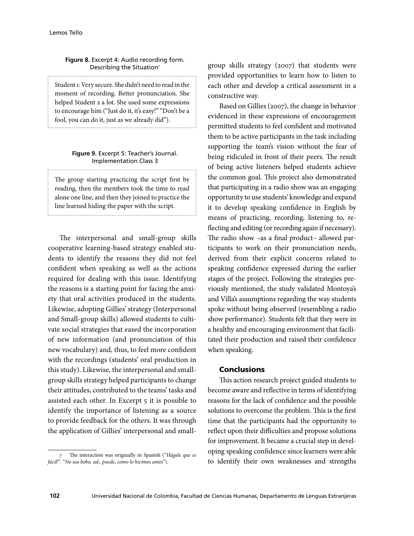## **Figure 8.** Excerpt 4: Audio recording form. Describing the Situation<sup>7</sup>

Student 1: Very secure. She didn't need to read in the moment of recording. Better pronunciation. She helped Student 2 a lot. She used some expressions to encourage him ("Just do it, it's easy!" "Don't be a fool, you can do it, just as we already did").

#### **Figure 9.** Excerpt 5: Teacher's Journal. Implementation Class 3

The group starting practicing the script first by reading, then the members took the time to read alone one line, and then they joined to practice the line learned hiding the paper with the script.

The interpersonal and small-group skills cooperative learning-based strategy enabled students to identify the reasons they did not feel confident when speaking as well as the actions required for dealing with this issue. Identifying the reasons is a starting point for facing the anxiety that oral activities produced in the students. Likewise, adopting Gillies' strategy (Interpersonal and Small-group skills) allowed students to cultivate social strategies that eased the incorporation of new information (and pronunciation of this new vocabulary) and, thus, to feel more confident with the recordings (students' oral production in this study). Likewise, the interpersonal and smallgroup skills strategy helped participants to change their attitudes, contributed to the teams' tasks and assisted each other. In Excerpt 5 it is possible to identify the importance of listening as a source to provide feedback for the others. It was through the application of Gillies' interpersonal and small-

7 The interaction was originally in Spanish ("*Hágale que es fácil!*"*.* "*No sea bobo, ud., puede, como lo hicimos antes*").

group skills strategy (2007) that students were provided opportunities to learn how to listen to each other and develop a critical assessment in a constructive way.

Based on Gillies (2007), the change in behavior evidenced in these expressions of encouragement permitted students to feel confident and motivated them to be active participants in the task including supporting the team's vision without the fear of being ridiculed in front of their peers. The result of being active listeners helped students achieve the common goal. This project also demonstrated that participating in a radio show was an engaging opportunity to use students' knowledge and expand it to develop speaking confidence in English by means of practicing, recording, listening to, reflecting and editing (or recording again if necessary). The radio show –as a final product– allowed participants to work on their pronunciation needs, derived from their explicit concerns related to speaking confidence expressed during the earlier stages of the project. Following the strategies previously mentioned, the study validated Montoya's and Villa's assumptions regarding the way students spoke without being observed (resembling a radio show performance). Students felt that they were in a healthy and encouraging environment that facilitated their production and raised their confidence when speaking.

## Conclusions

This action research project guided students to become aware and reflective in terms of identifying reasons for the lack of confidence and the possible solutions to overcome the problem. This is the first time that the participants had the opportunity to reflect upon their difficulties and propose solutions for improvement. It became a crucial step in developing speaking confidence since learners were able to identify their own weaknesses and strengths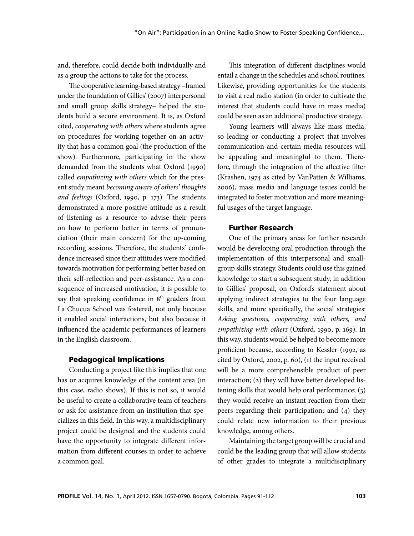and, therefore, could decide both individually and as a group the actions to take for the process.

The cooperative learning-based strategy –framed under the foundation of Gillies' (2007) interpersonal and small group skills strategy– helped the students build a secure environment. It is, as Oxford cited, *cooperating with others* where students agree on procedures for working together on an activity that has a common goal (the production of the show). Furthermore, participating in the show demanded from the students what Oxford (1990) called *empathizing with others* which for the present study meant *becoming aware of others' thoughts and feelings* (Oxford, 1990, p. 173). The students demonstrated a more positive attitude as a result of listening as a resource to advise their peers on how to perform better in terms of pronunciation (their main concern) for the up-coming recording sessions. Therefore, the students' confidence increased since their attitudes were modified towards motivation for performing better based on their self-reflection and peer-assistance. As a consequence of increased motivation, it is possible to say that speaking confidence in  $8<sup>th</sup>$  graders from La Chucua School was fostered, not only because it enabled social interactions, but also because it influenced the academic performances of learners in the English classroom.

#### Pedagogical Implications

Conducting a project like this implies that one has or acquires knowledge of the content area (in this case, radio shows). If this is not so, it would be useful to create a collaborative team of teachers or ask for assistance from an institution that specializes in this field. In this way, a multidisciplinary project could be designed and the students could have the opportunity to integrate different information from different courses in order to achieve a common goal.

This integration of different disciplines would entail a change in the schedules and school routines. Likewise, providing opportunities for the students to visit a real radio station (in order to cultivate the interest that students could have in mass media) could be seen as an additional productive strategy.

Young learners will always like mass media, so leading or conducting a project that involves communication and certain media resources will be appealing and meaningful to them. Therefore, through the integration of the affective filter (Krashen, 1974 as cited by VanPatten & Williams, 2006), mass media and language issues could be integrated to foster motivation and more meaningful usages of the target language.

# Further Research

One of the primary areas for further research would be developing oral production through the implementation of this interpersonal and smallgroup skills strategy. Students could use this gained knowledge to start a subsequent study, in addition to Gillies' proposal, on Oxford's statement about applying indirect strategies to the four language skills, and more specifically, the social strategies: *Asking questions, cooperating with others, and empathizing with others* (Oxford, 1990, p. 169). In this way, students would be helped to become more proficient because, according to Kessler (1992, as cited by Oxford, 2002, p. 60), (1) the input received will be a more comprehensible product of peer interaction; (2) they will have better developed listening skills that would help oral performance; (3) they would receive an instant reaction from their peers regarding their participation; and (4) they could relate new information to their previous knowledge, among others.

Maintaining the target group will be crucial and could be the leading group that will allow students of other grades to integrate a multidisciplinary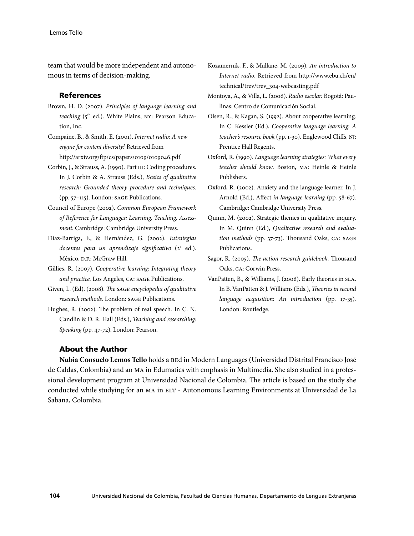team that would be more independent and autonomous in terms of decision-making.

### References

Brown, H. D. (2007). *Principles of language learning and teaching* (5<sup>th</sup> ed.). White Plains, NY: Pearson Education, Inc.

Compaine, B., & Smith, E. (2001). *Internet radio: A new engine for content diversity?* Retrieved from http://arxiv.org/ftp/cs/papers/0109/0109046.pdf

- Corbin, J., & Strauss, A. (1990). Part III: Coding procedures. In J. Corbin & A. Strauss (Eds.), *Basics of qualitative research: Grounded theory procedure and techniques.* (pp. 57–115). London: SAGE Publications.
- Council of Europe (2002). *Common European Framework of Reference for Languages: Learning, Teaching, Assessment.* Cambridge: Cambridge University Press.
- Díaz-Barriga, F., & Hernández, G. (2002). *Estrategias*  docentes para un aprendizaje significativo (2<sup>ª</sup> ed.). México, D.F.: McGraw Hill.
- Gillies, R. (2007). *Cooperative learning: Integrating theory and practice.* Los Angeles, CA: SAGE Publications.
- Given, L. (Ed). (2008). *The SAGE encyclopedia of qualitative research methods.* London: SAGE Publications.
- Hughes, R. (2002). The problem of real speech. In C. N. Candlin & D. R. Hall (Eds.), *Teaching and researching: Speaking* (pp. 47-72). London: Pearson.
- Kozamernik, F., & Mullane, M. (2009). *An introduction to Internet radio*. Retrieved from http://www.ebu.ch/en/ technical/trev/trev\_304-webcasting.pdf
- Montoya, A., & Villa, L. (2006). *Radio escolar.* Bogotá: Paulinas: Centro de Comunicación Social.
- Olsen, R., & Kagan, S. (1992). About cooperative learning. In C. Kessler (Ed.), *Cooperative language learning: A teacher's resource book* (pp. 1-30). Englewood Cliffs, NJ: Prentice Hall Regents.
- Oxford, R. (1990). *Language learning strategies: What every teacher should know*. Boston, MA: Heinle & Heinle Publishers.
- Oxford, R. (2002). Anxiety and the language learner. In J. Arnold (Ed.), Affect *in language learning* (pp. 58-67). Cambridge: Cambridge University Press.
- Quinn, M. (2002). Strategic themes in qualitative inquiry. In M. Quinn (Ed.), *Qualitative research and evaluation methods* (pp. 37-73). Thousand Oaks, CA: SAGE Publications.
- Sagor, R. (2005). *The action research guidebook.* Thousand Oaks, CA: Corwin Press.
- VanPatten, B., & Williams, J. (2006). Early theories in SLA. In B. VanPatten & J. Williams (Eds.), *Theories in second language acquisition: An introduction* (pp. 17-35)*.*  London: Routledge.

#### About the Author

**Nubia Consuelo Lemos Tello** holds a BEd in Modern Languages (Universidad Distrital Francisco José de Caldas, Colombia) and an MA in Edumatics with emphasis in Multimedia. She also studied in a professional development program at Universidad Nacional de Colombia. The article is based on the study she conducted while studying for an MA in ELT - Autonomous Learning Environments at Universidad de La Sabana, Colombia.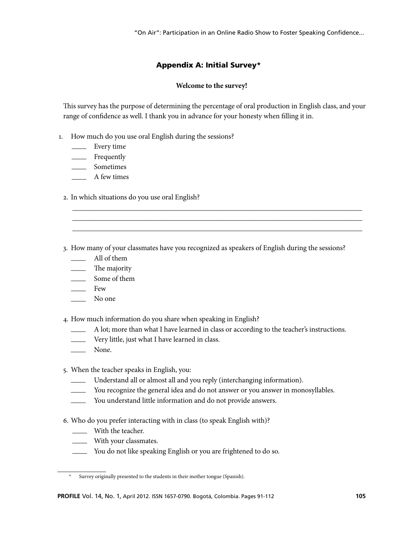"On Air": Participation in an Online Radio Show to Foster Speaking Confidence...

# Appendix A: Initial Survey\*<sup>8</sup>

# **Welcome to the survey!**

This survey has the purpose of determining the percentage of oral production in English class, and your range of confidence as well. I thank you in advance for your honesty when filling it in.

- 1. How much do you use oral English during the sessions?
	- \_\_\_\_ Every time
	- \_\_\_\_ Frequently
	- \_\_\_\_ Sometimes
	- \_\_\_\_ A few times
	- 2. In which situations do you use oral English?
	- 3. How many of your classmates have you recognized as speakers of English during the sessions?

\_\_\_\_\_\_\_\_\_\_\_\_\_\_\_\_\_\_\_\_\_\_\_\_\_\_\_\_\_\_\_\_\_\_\_\_\_\_\_\_\_\_\_\_\_\_\_\_\_\_\_\_\_\_\_\_\_\_\_\_\_\_\_\_\_\_\_\_\_\_\_\_\_\_\_\_\_\_ \_\_\_\_\_\_\_\_\_\_\_\_\_\_\_\_\_\_\_\_\_\_\_\_\_\_\_\_\_\_\_\_\_\_\_\_\_\_\_\_\_\_\_\_\_\_\_\_\_\_\_\_\_\_\_\_\_\_\_\_\_\_\_\_\_\_\_\_\_\_\_\_\_\_\_\_\_\_ \_\_\_\_\_\_\_\_\_\_\_\_\_\_\_\_\_\_\_\_\_\_\_\_\_\_\_\_\_\_\_\_\_\_\_\_\_\_\_\_\_\_\_\_\_\_\_\_\_\_\_\_\_\_\_\_\_\_\_\_\_\_\_\_\_\_\_\_\_\_\_\_\_\_\_\_\_\_

- \_\_\_\_ All of them
- \_\_\_\_ The majority
- \_\_\_\_ Some of them
- $-$  Few
- \_\_\_\_ No one

4. How much information do you share when speaking in English?

- A lot; more than what I have learned in class or according to the teacher's instructions.
- \_\_\_\_ Very little, just what I have learned in class.
- \_\_\_\_ None.

5. When the teacher speaks in English, you:

- Understand all or almost all and you reply (interchanging information).
- \_\_\_\_ You recognize the general idea and do not answer or you answer in monosyllables.
- You understand little information and do not provide answers.
- 6. Who do you prefer interacting with in class (to speak English with)?
	- \_\_\_\_ With the teacher.
	- \_\_\_\_ With your classmates.
	- \_\_\_\_ You do not like speaking English or you are frightened to do so.

<sup>\*</sup> Survey originally presented to the students in their mother tongue (Spanish).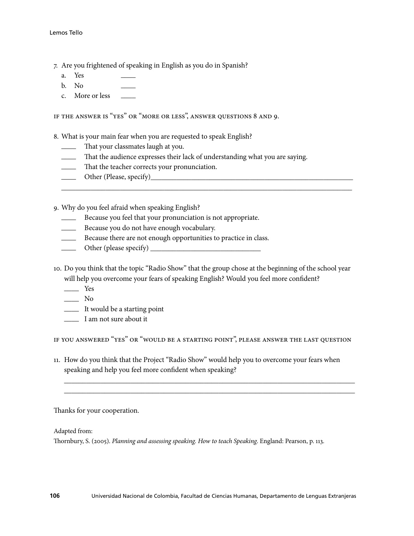- 7. Are you frightened of speaking in English as you do in Spanish?
	- a. Yes
	- $b. No$
	- c. More or less

IF THE ANSWER IS "YES" OR "MORE OR LESS", ANSWER QUESTIONS 8 AND 9.

8. What is your main fear when you are requested to speak English?

- That your classmates laugh at you.
- That the audience expresses their lack of understanding what you are saying.
- \_\_\_\_ That the teacher corrects your pronunciation.
- \_\_\_\_ Other (Please, specify)\_\_\_\_\_\_\_\_\_\_\_\_\_\_\_\_\_\_\_\_\_\_\_\_\_\_\_\_\_\_\_\_\_\_\_\_\_\_\_\_\_\_\_\_\_\_\_\_\_\_\_\_\_\_\_
- 9. Why do you feel afraid when speaking English?
	- \_\_\_\_ Because you feel that your pronunciation is not appropriate.
	- \_\_\_\_ Because you do not have enough vocabulary.
	- \_\_\_\_ Because there are not enough opportunities to practice in class.
	- \_\_\_\_ Other (please specify) \_\_\_\_\_\_\_\_\_\_\_\_\_\_\_\_\_\_\_\_\_\_\_\_\_\_\_\_\_\_
- 10. Do you think that the topic "Radio Show" that the group chose at the beginning of the school year will help you overcome your fears of speaking English? Would you feel more confident?

\_\_\_\_\_\_\_\_\_\_\_\_\_\_\_\_\_\_\_\_\_\_\_\_\_\_\_\_\_\_\_\_\_\_\_\_\_\_\_\_\_\_\_\_\_\_\_\_\_\_\_\_\_\_\_\_\_\_\_\_\_\_\_\_\_\_\_\_\_\_\_\_\_\_\_\_\_\_\_

- \_\_\_\_ Yes
- $\overline{\phantom{a}}$  No
- \_\_\_\_ It would be a starting point
- \_\_\_\_ I am not sure about it

IF YOU ANSWERED "YES" OR "WOULD BE A STARTING POINT", PLEASE ANSWER THE LAST QUESTION

 $\overline{\phantom{a}}$  , and the contribution of the contribution of the contribution of the contribution of the contribution of the contribution of the contribution of the contribution of the contribution of the contribution of the  $\overline{\phantom{a}}$  , and the contribution of the contribution of the contribution of the contribution of the contribution of the contribution of the contribution of the contribution of the contribution of the contribution of the

11. How do you think that the Project "Radio Show" would help you to overcome your fears when speaking and help you feel more confident when speaking?

Thanks for your cooperation.

Adapted from:

Thornbury, S. (2005). *Planning and assessing speaking. How to teach Speaking*. England: Pearson, p. 113.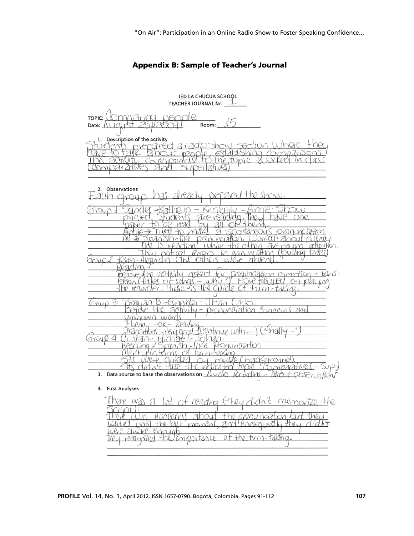# Appendix B: Sample of Teacher's Journal

| <b>IED LA CHUCUA SCHOOL</b><br>TEACHER JOURNAL Nr: $1/2$                                                                                                                      |  |  |  |  |
|-------------------------------------------------------------------------------------------------------------------------------------------------------------------------------|--|--|--|--|
| $\sqrt{e}$<br>nnaring<br>TOPIC:<br>Room: $15$<br>Date: $A(10115)$                                                                                                             |  |  |  |  |
| 1. Description of the activity<br>wenzred z radio show section where<br>the topic $H$<br>Coviell<br>m7<br>l <i>a</i> tive<br>nnioziv                                          |  |  |  |  |
| 2. Observations<br>has already prepared the show:<br>9U<br>aynur                                                                                                              |  |  |  |  |
| m<br>vPar<br>ne<br>Tried<br>R.<br>attention<br>DAVIMA<br>ruthaa<br>notical                                                                                                    |  |  |  |  |
| <u> Union comection - tens-</u><br>DAMU<br>11 TV<br>tr<br>DN ILA<br>$MW - 2D$<br>On pla<br>U<br>Jisthe avide<br>K<br>⊙1<br>M-TAKM                                             |  |  |  |  |
| Than<br>$\theta_{\mathcal{A}}$<br>pider-<br>Concerns and<br>pronunciation<br>20thvity-<br><b>UUVY</b><br>кеяліма<br>$4$ mad $1$ "<br>Clantine with.)<br>royp<br>Atranungiztik |  |  |  |  |
| misto<br>packground<br>Nep<br>$Q_{11}$<br>indicated topic (Comparatives-Sup)<br>3. Data source to base the observations on $\mathcal{A}$ udo<br>4. First Analyses             |  |  |  |  |
| of reading (they didn't memorize the<br>There was a<br>the programetation but<br>11 Consequently the<br>Palt moment<br>AY<br>Were Zware Engran.                               |  |  |  |  |

of the turn-taking

They remopled the importance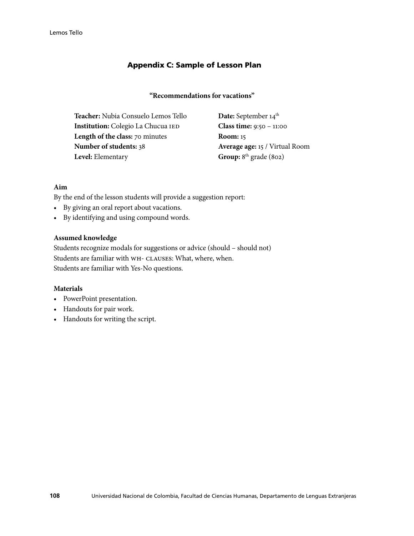# Appendix C: Sample of Lesson Plan

# **"Recommendations for vacations"**

**Teacher:** Nubia Consuelo Lemos Tello **Date:** September 14<sup>th</sup>  **Institution:** Colegio La Chucua IED **Class time:** 9:50 – 11:00  **Length of the class:** 70 minutes **Room:** 15  **Number of students:** 38 **Average age:** 15 / Virtual Room **Level:** Elementary **Group:** 8<sup>th</sup> grade (802)

# **Aim**

By the end of the lesson students will provide a suggestion report:

- • By giving an oral report about vacations.
- • By identifying and using compound words.

# **Assumed knowledge**

Students recognize modals for suggestions or advice (should – should not) Students are familiar with WH- CLAUSES: What, where, when. Students are familiar with Yes-No questions.

# **Materials**

- • PowerPoint presentation.
- • Handouts for pair work.
- • Handouts for writing the script.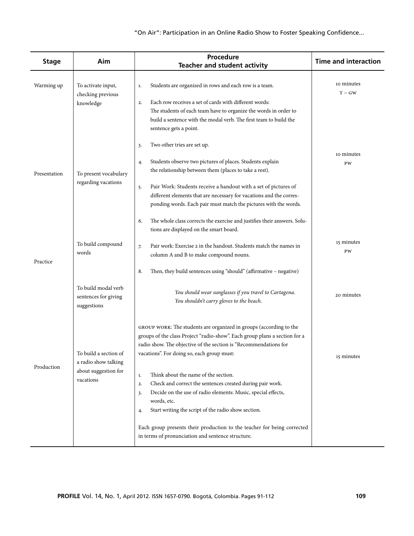# "On Air": Participation in an Online Radio Show to Foster Speaking Confidence...

| <b>Stage</b> | Aim                                                                                                                       | Procedure<br><b>Teacher and student activity</b>                                                                                                                                                                                                                                                                                                                                                | <b>Time and interaction</b> |
|--------------|---------------------------------------------------------------------------------------------------------------------------|-------------------------------------------------------------------------------------------------------------------------------------------------------------------------------------------------------------------------------------------------------------------------------------------------------------------------------------------------------------------------------------------------|-----------------------------|
| Warming up   | To activate input,<br>checking previous<br>knowledge                                                                      | Students are organized in rows and each row is a team.<br>$1.$<br>Each row receives a set of cards with different words:<br>2.<br>The students of each team have to organize the words in order to<br>build a sentence with the modal verb. The first team to build the<br>sentence gets a point.                                                                                               | 10 minutes<br>$T - GW$      |
| Presentation | To present vocabulary<br>regarding vacations                                                                              | Two other tries are set up.<br>3.<br>Students observe two pictures of places. Students explain<br>4.<br>the relationship between them (places to take a rest).<br>Pair Work: Students receive a handout with a set of pictures of<br>5.<br>different elements that are necessary for vacations and the corres-<br>ponding words. Each pair must match the pictures with the words.              | 10 minutes<br>PW            |
| Practice     | To build compound<br>words<br>To build modal verb                                                                         | The whole class corrects the exercise and justifies their answers. Solu-<br>6.<br>tions are displayed on the smart board.<br>Pair work: Exercise 2 in the handout. Students match the names in<br>7.<br>column A and B to make compound nouns.<br>Then, they build sentences using "should" (affirmative - negative)<br>8.                                                                      | 15 minutes<br>PW            |
| Production   | sentences for giving<br>suggestions<br>To build a section of<br>a radio show talking<br>about suggestion for<br>vacations | You should wear sunglasses if you travel to Cartagena.<br>You shouldn't carry gloves to the beach.<br>GROUP WORK: The students are organized in groups (according to the<br>groups of the class Project "radio-show". Each group plans a section for a<br>radio show. The objective of the section is "Recommendations for<br>vacations". For doing so, each group must:                        | 20 minutes<br>15 minutes    |
|              |                                                                                                                           | Think about the name of the section.<br>1.<br>Check and correct the sentences created during pair work.<br>2.<br>Decide on the use of radio elements: Music, special effects,<br>3.<br>words, etc.<br>Start writing the script of the radio show section.<br>4.<br>Each group presents their production to the teacher for being corrected<br>in terms of pronunciation and sentence structure. |                             |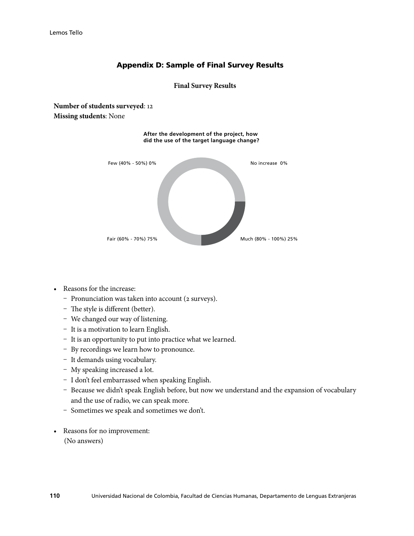# Appendix D: Sample of Final Survey Results

## **Final Survey Results**

**Number of students surveyed**: 12 **Missing students**: None



- Reasons for the increase:
	- Pronunciation was taken into account (2 surveys).
	- The style is different (better).
	- We changed our way of listening.
	- It is a motivation to learn English.
	- ȟ It is an opportunity to put into practice what we learned.
	- By recordings we learn how to pronounce.
	- It demands using vocabulary.
	- My speaking increased a lot.
	- I don't feel embarrassed when speaking English.
	- Because we didn't speak English before, but now we understand and the expansion of vocabulary and the use of radio, we can speak more.
	- Sometimes we speak and sometimes we don't.
- • Reasons for no improvement: (No answers)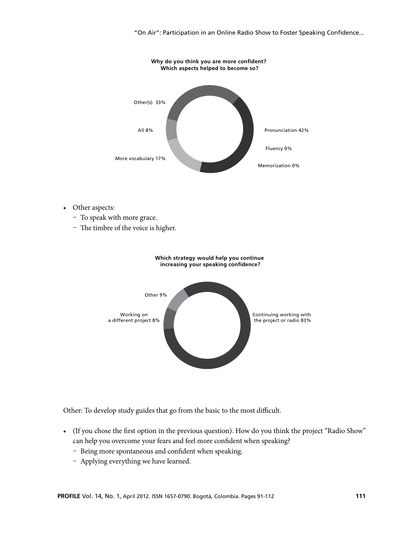"On Air": Participation in an Online Radio Show to Foster Speaking Confidence...



- Other aspects:
	- To speak with more grace.
	- The timbre of the voice is higher.



Other: To develop study guides that go from the basic to the most difficult.

- • (If you chose the first option in the previous question). How do you think the project "Radio Show" can help you overcome your fears and feel more confident when speaking?
	- Being more spontaneous and confident when speaking.
	- Applying everything we have learned.